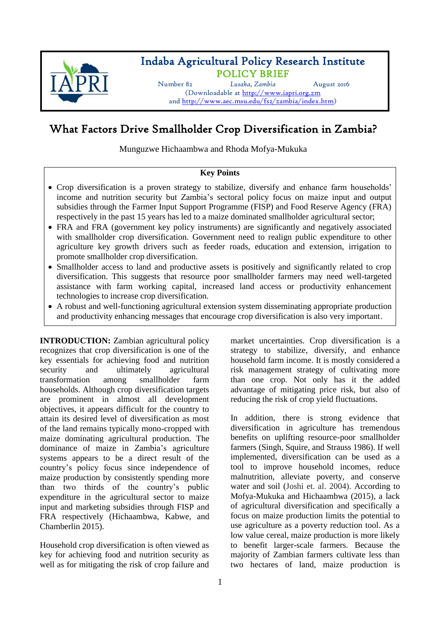

## Indaba Agricultural Policy Research Institute POLICY BRIEF

Number 82 *Lusaka, Zambia* August 2016

(Downloadable at [http://www.iapri.org.zm](http://www.iapri.org.zm/) and [http://www.aec.msu.edu/fs2/zambia/index.htm\)](http://www.aec.msu.edu/fs2/zambia/index.htm)

# What Factors Drive Smallholder Crop Diversification in Zambia?

Munguzwe Hichaambwa and Rhoda Mofya-Mukuka

## **Key Points**

- Crop diversification is a proven strategy to stabilize, diversify and enhance farm households' income and nutrition security but Zambia's sectoral policy focus on maize input and output subsidies through the Farmer Input Support Programme (FISP) and Food Reserve Agency (FRA) respectively in the past 15 years has led to a maize dominated smallholder agricultural sector;
- FRA and FRA (government key policy instruments) are significantly and negatively associated with smallholder crop diversification. Government need to realign public expenditure to other agriculture key growth drivers such as feeder roads, education and extension, irrigation to promote smallholder crop diversification.
- Smallholder access to land and productive assets is positively and significantly related to crop diversification. This suggests that resource poor smallholder farmers may need well-targeted assistance with farm working capital, increased land access or productivity enhancement technologies to increase crop diversification.
- A robust and well-functioning agricultural extension system disseminating appropriate production and productivity enhancing messages that encourage crop diversification is also very important.

**INTRODUCTION:** Zambian agricultural policy recognizes that crop diversification is one of the key essentials for achieving food and nutrition security and ultimately agricultural transformation among smallholder farm households. Although crop diversification targets are prominent in almost all development objectives, it appears difficult for the country to attain its desired level of diversification as most of the land remains typically mono-cropped with maize dominating agricultural production. The dominance of maize in Zambia's agriculture systems appears to be a direct result of the country's policy focus since independence of maize production by consistently spending more than two thirds of the country's public expenditure in the agricultural sector to maize input and marketing subsidies through FISP and FRA respectively (Hichaambwa, Kabwe, and Chamberlin 2015).

Household crop diversification is often viewed as key for achieving food and nutrition security as well as for mitigating the risk of crop failure and market uncertainties. Crop diversification is a strategy to stabilize, diversify, and enhance household farm income. It is mostly considered a risk management strategy of cultivating more than one crop. Not only has it the added advantage of mitigating price risk, but also of reducing the risk of crop yield fluctuations.

In addition, there is strong evidence that diversification in agriculture has tremendous benefits on uplifting resource-poor smallholder farmers (Singh, Squire, and Strauss 1986). If well implemented, diversification can be used as a tool to improve household incomes, reduce malnutrition, alleviate poverty, and conserve water and soil (Joshi et. al. 2004). According to Mofya-Mukuka and Hichaambwa (2015), a lack of agricultural diversification and specifically a focus on maize production limits the potential to use agriculture as a poverty reduction tool. As a low value cereal, maize production is more likely to benefit larger-scale farmers. Because the majority of Zambian farmers cultivate less than two hectares of land, maize production is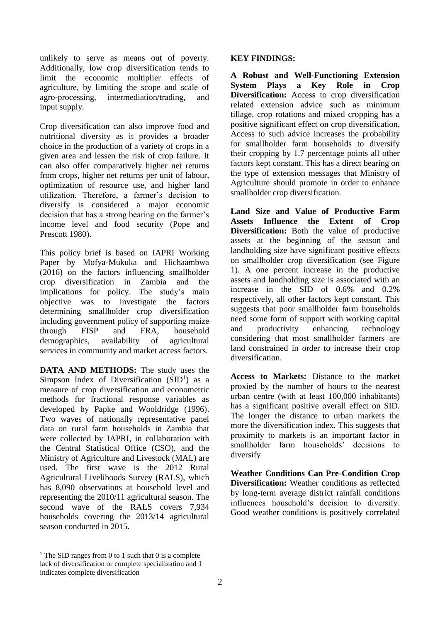unlikely to serve as means out of poverty. Additionally, low crop diversification tends to limit the economic multiplier effects of agriculture, by limiting the scope and scale of agro-processing, intermediation/trading, and input supply.

Crop diversification can also improve food and nutritional diversity as it provides a broader choice in the production of a variety of crops in a given area and lessen the risk of crop failure. It can also offer comparatively higher net returns from crops, higher net returns per unit of labour, optimization of resource use, and higher land utilization. Therefore, a farmer's decision to diversify is considered a major economic decision that has a strong bearing on the farmer's income level and food security (Pope and Prescott 1980).

This policy brief is based on IAPRI Working Paper by Mofya-Mukuka and Hichaambwa (2016) on the factors influencing smallholder crop diversification in Zambia and the implications for policy. The study's main objective was to investigate the factors determining smallholder crop diversification including government policy of supporting maize through FISP and FRA, household demographics, availability of agricultural services in community and market access factors.

**DATA AND METHODS:** The study uses the Simpson Index of Diversification  $(SID<sup>1</sup>)$  as a measure of crop diversification and econometric methods for fractional response variables as developed by Papke and Wooldridge (1996). Two waves of nationally representative panel data on rural farm households in Zambia that were collected by IAPRI, in collaboration with the Central Statistical Office (CSO), and the Ministry of Agriculture and Livestock (MAL) are used. The first wave is the 2012 Rural Agricultural Livelihoods Survey (RALS), which has 8,090 observations at household level and representing the 2010/11 agricultural season. The second wave of the RALS covers 7,934 households covering the 2013/14 agricultural season conducted in 2015.

## **KEY FINDINGS:**

**A Robust and Well-Functioning Extension System Plays a Key Role in Crop Diversification:** Access to crop diversification related extension advice such as minimum tillage, crop rotations and mixed cropping has a positive significant effect on crop diversification. Access to such advice increases the probability for smallholder farm households to diversify their cropping by 1.7 percentage points all other factors kept constant. This has a direct bearing on the type of extension messages that Ministry of Agriculture should promote in order to enhance smallholder crop diversification.

**Land Size and Value of Productive Farm Assets Influence the Extent of Crop Diversification:** Both the value of productive assets at the beginning of the season and landholding size have significant positive effects on smallholder crop diversification (see Figure 1). A one percent increase in the productive assets and landholding size is associated with an increase in the SID of 0.6% and 0.2% respectively, all other factors kept constant. This suggests that poor smallholder farm households need some form of support with working capital and productivity enhancing technology considering that most smallholder farmers are land constrained in order to increase their crop diversification.

**Access to Markets:** Distance to the market proxied by the number of hours to the nearest urban centre (with at least 100,000 inhabitants) has a significant positive overall effect on SID. The longer the distance to urban markets the more the diversification index. This suggests that proximity to markets is an important factor in smallholder farm households' decisions to diversify

**Weather Conditions Can Pre-Condition Crop Diversification:** Weather conditions as reflected by long-term average district rainfall conditions influences household's decision to diversify. Good weather conditions is positively correlated

 $\overline{a}$ 

<sup>&</sup>lt;sup>1</sup> The SID ranges from 0 to 1 such that 0 is a complete lack of diversification or complete specialization and 1 indicates complete diversification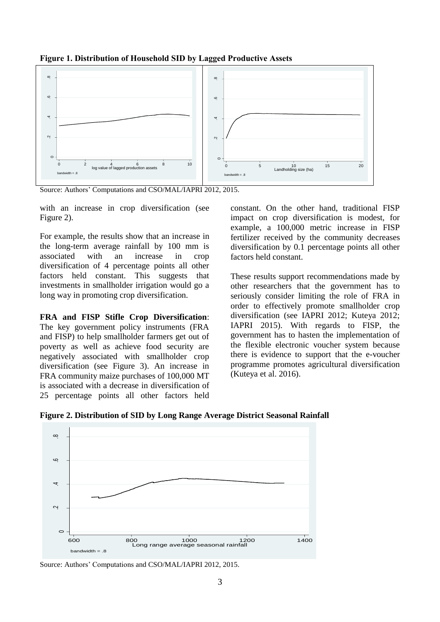



Source: Authors' Computations and CSO/MAL/IAPRI 2012, 2015.

with an increase in crop diversification (see Figure 2).

For example, the results show that an increase in the long-term average rainfall by 100 mm is associated with an increase in crop diversification of 4 percentage points all other factors held constant. This suggests that investments in smallholder irrigation would go a long way in promoting crop diversification.

**FRA and FISP Stifle Crop Diversification**: The key government policy instruments (FRA and FISP) to help smallholder farmers get out of poverty as well as achieve food security are negatively associated with smallholder crop diversification (see Figure 3). An increase in FRA community maize purchases of 100,000 MT is associated with a decrease in diversification of 25 percentage points all other factors held constant. On the other hand, traditional FISP impact on crop diversification is modest, for example, a 100,000 metric increase in FISP fertilizer received by the community decreases diversification by 0.1 percentage points all other factors held constant.

These results support recommendations made by other researchers that the government has to seriously consider limiting the role of FRA in order to effectively promote smallholder crop diversification (see IAPRI 2012; Kuteya 2012; IAPRI 2015). With regards to FISP, the government has to hasten the implementation of the flexible electronic voucher system because there is evidence to support that the e-voucher programme promotes agricultural diversification (Kuteya et al. 2016).





Source: Authors' Computations and CSO/MAL/IAPRI 2012, 2015.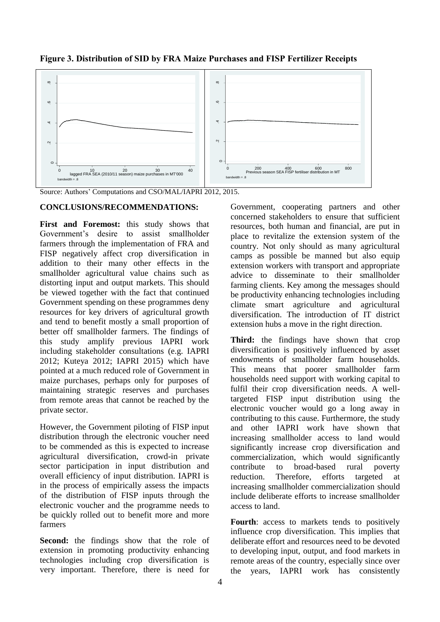

**Figure 3. Distribution of SID by FRA Maize Purchases and FISP Fertilizer Receipts**

Source: Authors' Computations and CSO/MAL/IAPRI 2012, 2015.

### **CONCLUSIONS/RECOMMENDATIONS:**

**First and Foremost:** this study shows that Government's desire to assist smallholder farmers through the implementation of FRA and FISP negatively affect crop diversification in addition to their many other effects in the smallholder agricultural value chains such as distorting input and output markets. This should be viewed together with the fact that continued Government spending on these programmes deny resources for key drivers of agricultural growth and tend to benefit mostly a small proportion of better off smallholder farmers. The findings of this study amplify previous IAPRI work including stakeholder consultations (e.g. IAPRI 2012; Kuteya 2012; IAPRI 2015) which have pointed at a much reduced role of Government in maize purchases, perhaps only for purposes of maintaining strategic reserves and purchases from remote areas that cannot be reached by the private sector.

However, the Government piloting of FISP input distribution through the electronic voucher need to be commended as this is expected to increase agricultural diversification, crowd-in private sector participation in input distribution and overall efficiency of input distribution. IAPRI is in the process of empirically assess the impacts of the distribution of FISP inputs through the electronic voucher and the programme needs to be quickly rolled out to benefit more and more farmers

**Second:** the findings show that the role of extension in promoting productivity enhancing technologies including crop diversification is very important. Therefore, there is need for Government, cooperating partners and other concerned stakeholders to ensure that sufficient resources, both human and financial, are put in place to revitalize the extension system of the country. Not only should as many agricultural camps as possible be manned but also equip extension workers with transport and appropriate advice to disseminate to their smallholder farming clients. Key among the messages should be productivity enhancing technologies including climate smart agriculture and agricultural diversification. The introduction of IT district extension hubs a move in the right direction.

**Third:** the findings have shown that crop diversification is positively influenced by asset endowments of smallholder farm households. This means that poorer smallholder farm households need support with working capital to fulfil their crop diversification needs. A welltargeted FISP input distribution using the electronic voucher would go a long away in contributing to this cause. Furthermore, the study and other IAPRI work have shown that increasing smallholder access to land would significantly increase crop diversification and commercialization, which would significantly contribute to broad-based rural poverty reduction. Therefore, efforts targeted at increasing smallholder commercialization should include deliberate efforts to increase smallholder access to land.

Fourth: access to markets tends to positively influence crop diversification. This implies that deliberate effort and resources need to be devoted to developing input, output, and food markets in remote areas of the country, especially since over the years, IAPRI work has consistently